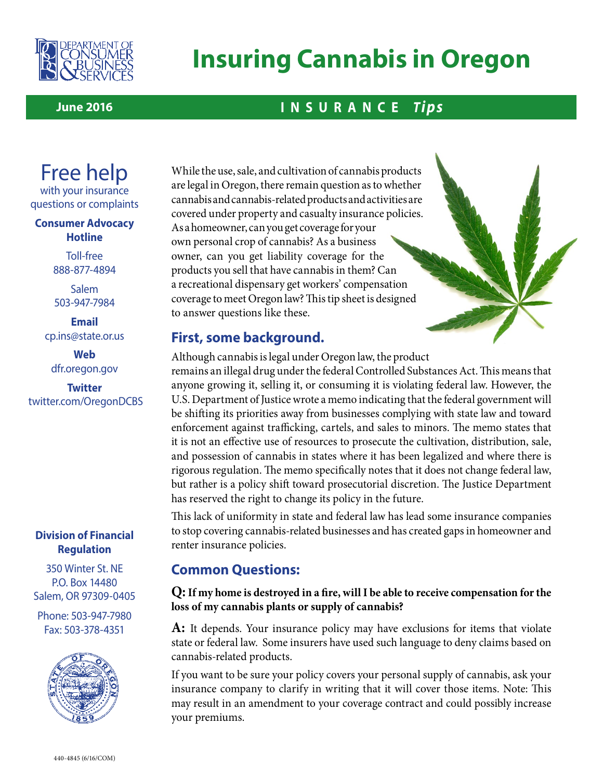

# **Insuring Cannabis in Oregon**

#### **June 2016**

# **INSURANCE** *Tips*

# Free help

with your insurance questions or complaints

#### **Consumer Advocacy Hotline**

Toll-free 888-877-4894

Salem 503-947-7984

**Email** [cp.ins@state.or.us](mailto:cp.ins@state.or.us)

**Web** dfr.oregon.gov

**Twitter** <twitter.com/OregonDCBS>

#### **Division of Financial Regulation**

350 Winter St. NE P.O. Box 14480 Salem, OR 97309-0405

Phone: 503-947-7980 Fax: 503-378-4351



While the use, sale, and cultivation of cannabis products are legal in Oregon, there remain question as to whether cannabis and cannabis-related products and activities are covered under property and casualty insurance policies. As a homeowner, can you get coverage for your own personal crop of cannabis? As a business owner, can you get liability coverage for the products you sell that have cannabis in them? Can a recreational dispensary get workers' compensation coverage to meet Oregon law? This tip sheet is designed to answer questions like these.

# **First, some background.**

Although cannabis is legal under Oregon law, the product remains an illegal drug under the federal Controlled Substances Act. This means that anyone growing it, selling it, or consuming it is violating federal law. However, the U.S. Department of Justice wrote a memo indicating that the federal government will be shifting its priorities away from businesses complying with state law and toward enforcement against trafficking, cartels, and sales to minors. The memo states that it is not an effective use of resources to prosecute the cultivation, distribution, sale, and possession of cannabis in states where it has been legalized and where there is rigorous regulation. The memo specifically notes that it does not change federal law, but rather is a policy shift toward prosecutorial discretion. The Justice Department has reserved the right to change its policy in the future.

This lack of uniformity in state and federal law has lead some insurance companies to stop covering cannabis-related businesses and has created gaps in homeowner and renter insurance policies.

## **Common Questions:**

#### **Q: If my home is destroyed in a fire, will I be able to receive compensation for the loss of my cannabis plants or supply of cannabis?**

**A:** It depends. Your insurance policy may have exclusions for items that violate state or federal law. Some insurers have used such language to deny claims based on cannabis-related products.

If you want to be sure your policy covers your personal supply of cannabis, ask your insurance company to clarify in writing that it will cover those items. Note: This may result in an amendment to your coverage contract and could possibly increase your premiums.